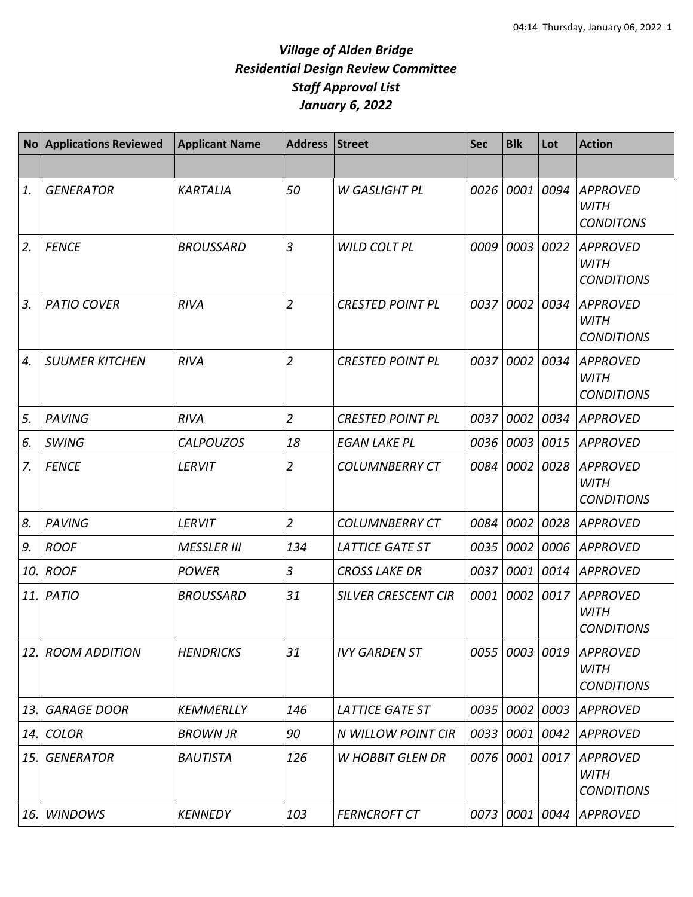|     | No Applications Reviewed | <b>Applicant Name</b> | Address Street |                            | <b>Sec</b> | <b>Blk</b> | Lot  | <b>Action</b>                                       |
|-----|--------------------------|-----------------------|----------------|----------------------------|------------|------------|------|-----------------------------------------------------|
|     |                          |                       |                |                            |            |            |      |                                                     |
| 1.  | <b>GENERATOR</b>         | <b>KARTALIA</b>       | 50             | <b>W GASLIGHT PL</b>       | 0026       | 0001       | 0094 | <b>APPROVED</b><br><b>WITH</b><br><b>CONDITONS</b>  |
| 2.  | <b>FENCE</b>             | <b>BROUSSARD</b>      | $\overline{3}$ | <b>WILD COLT PL</b>        | 0009       | 0003       | 0022 | APPROVED<br><b>WITH</b><br><b>CONDITIONS</b>        |
| 3.  | <b>PATIO COVER</b>       | <b>RIVA</b>           | $\overline{2}$ | <b>CRESTED POINT PL</b>    | 0037       | 0002       | 0034 | <b>APPROVED</b><br><b>WITH</b><br><b>CONDITIONS</b> |
| 4.  | <b>SUUMER KITCHEN</b>    | <b>RIVA</b>           | $\overline{2}$ | <b>CRESTED POINT PL</b>    | 0037       | 0002       | 0034 | <b>APPROVED</b><br><b>WITH</b><br><b>CONDITIONS</b> |
| 5.  | <b>PAVING</b>            | <b>RIVA</b>           | $\overline{2}$ | <b>CRESTED POINT PL</b>    | 0037       | 0002       | 0034 | <b>APPROVED</b>                                     |
| 6.  | <b>SWING</b>             | <b>CALPOUZOS</b>      | 18             | <b>EGAN LAKE PL</b>        | 0036       | 0003       | 0015 | <b>APPROVED</b>                                     |
| 7.  | <b>FENCE</b>             | <b>LERVIT</b>         | $\overline{2}$ | <b>COLUMNBERRY CT</b>      | 0084       | 0002       | 0028 | <b>APPROVED</b><br><b>WITH</b><br><b>CONDITIONS</b> |
| 8.  | <b>PAVING</b>            | <b>LERVIT</b>         | $\overline{2}$ | <b>COLUMNBERRY CT</b>      | 0084       | 0002       | 0028 | <b>APPROVED</b>                                     |
| 9.  | <b>ROOF</b>              | <b>MESSLER III</b>    | 134            | <b>LATTICE GATE ST</b>     | 0035       | 0002       | 0006 | <b>APPROVED</b>                                     |
| 10. | <b>ROOF</b>              | <b>POWER</b>          | $\overline{3}$ | <b>CROSS LAKE DR</b>       | 0037       | 0001       | 0014 | <b>APPROVED</b>                                     |
| 11. | PATIO                    | <b>BROUSSARD</b>      | 31             | <b>SILVER CRESCENT CIR</b> | 0001       | 0002       | 0017 | <b>APPROVED</b><br><b>WITH</b><br><b>CONDITIONS</b> |
| 12. | <b>ROOM ADDITION</b>     | <b>HENDRICKS</b>      | 31             | <b>IVY GARDEN ST</b>       | 0055       | 0003       | 0019 | <b>APPROVED</b><br><b>WITH</b><br><b>CONDITIONS</b> |
| 13. | <b>GARAGE DOOR</b>       | <b>KEMMERLLY</b>      | 146            | <b>LATTICE GATE ST</b>     | 0035       | 0002       | 0003 | APPROVED                                            |
| 14. | <b>COLOR</b>             | <b>BROWN JR</b>       | 90             | N WILLOW POINT CIR         | 0033       | 0001       | 0042 | <b>APPROVED</b>                                     |
| 15. | <b>GENERATOR</b>         | <b>BAUTISTA</b>       | 126            | <b>W HOBBIT GLEN DR</b>    | 0076       | 0001       | 0017 | <b>APPROVED</b><br><b>WITH</b><br><b>CONDITIONS</b> |
| 16. | <b>WINDOWS</b>           | <b>KENNEDY</b>        | 103            | <b>FERNCROFT CT</b>        | 0073       | 0001       | 0044 | <b>APPROVED</b>                                     |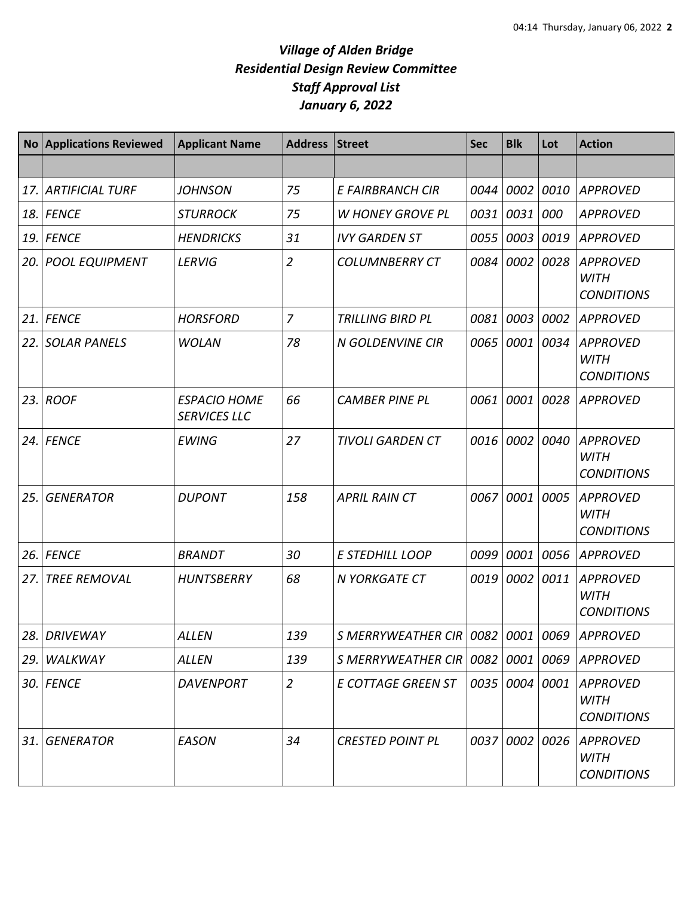| <b>No</b> | <b>Applications Reviewed</b> | <b>Applicant Name</b>                      | <b>Address</b> | <b>Street</b>                              | <b>Sec</b> | <b>Blk</b> | Lot  | <b>Action</b>                                       |
|-----------|------------------------------|--------------------------------------------|----------------|--------------------------------------------|------------|------------|------|-----------------------------------------------------|
|           |                              |                                            |                |                                            |            |            |      |                                                     |
| 17.       | <b>ARTIFICIAL TURF</b>       | <b>JOHNSON</b>                             | 75             | E FAIRBRANCH CIR                           | 0044       | 0002       | 0010 | <b>APPROVED</b>                                     |
| 18.       | <b>FENCE</b>                 | <b>STURROCK</b>                            | 75             | W HONEY GROVE PL                           | 0031       | 0031       | 000  | <b>APPROVED</b>                                     |
| 19.       | <b>FENCE</b>                 | <b>HENDRICKS</b>                           | 31             | <b>IVY GARDEN ST</b>                       | 0055       | 0003       | 0019 | <b>APPROVED</b>                                     |
|           | 20. POOL EQUIPMENT           | <b>LERVIG</b>                              | $\overline{2}$ | <b>COLUMNBERRY CT</b>                      | 0084       | 0002       | 0028 | <b>APPROVED</b><br><b>WITH</b><br><b>CONDITIONS</b> |
| 21.       | <b>FENCE</b>                 | <b>HORSFORD</b>                            | $\overline{7}$ | <b>TRILLING BIRD PL</b>                    | 0081       | 0003       | 0002 | <b>APPROVED</b>                                     |
| 22.       | <b>SOLAR PANELS</b>          | <b>WOLAN</b>                               | 78             | N GOLDENVINE CIR                           | 0065       | 0001       | 0034 | <b>APPROVED</b><br><b>WITH</b><br><b>CONDITIONS</b> |
|           | $23.$ ROOF                   | <b>ESPACIO HOME</b><br><b>SERVICES LLC</b> | 66             | <b>CAMBER PINE PL</b>                      | 0061       | 0001       | 0028 | <b>APPROVED</b>                                     |
|           | 24. FENCE                    | <b>EWING</b>                               | 27             | <b>TIVOLI GARDEN CT</b>                    | 0016       | 0002       | 0040 | <b>APPROVED</b><br><b>WITH</b><br><b>CONDITIONS</b> |
| 25.       | <b>GENERATOR</b>             | <b>DUPONT</b>                              | 158            | <b>APRIL RAIN CT</b>                       | 0067       | 0001       | 0005 | <b>APPROVED</b><br><b>WITH</b><br><b>CONDITIONS</b> |
| 26.       | <b>FENCE</b>                 | <b>BRANDT</b>                              | 30             | <b>E STEDHILL LOOP</b>                     | 0099       | 0001       | 0056 | <b>APPROVED</b>                                     |
| 27.       | <b>TREE REMOVAL</b>          | <b>HUNTSBERRY</b>                          | 68             | N YORKGATE CT                              | 0019       | 0002       | 0011 | <b>APPROVED</b><br><b>WITH</b><br><b>CONDITIONS</b> |
|           | 28. DRIVEWAY                 | <b>ALLEN</b>                               | 139            | S MERRYWEATHER CIR 0082 0001 0069 APPROVED |            |            |      |                                                     |
| 29.       | WALKWAY                      | ALLEN                                      | 139            | S MERRYWEATHER CIR   0082   0001           |            |            | 0069 | APPROVED                                            |
|           | 30. FENCE                    | <b>DAVENPORT</b>                           | $\overline{2}$ | E COTTAGE GREEN ST                         | 0035 0004  |            | 0001 | <b>APPROVED</b><br><b>WITH</b><br><b>CONDITIONS</b> |
| 31.       | <b>GENERATOR</b>             | <b>EASON</b>                               | 34             | <b>CRESTED POINT PL</b>                    |            | 0037 0002  | 0026 | <b>APPROVED</b><br><b>WITH</b><br><b>CONDITIONS</b> |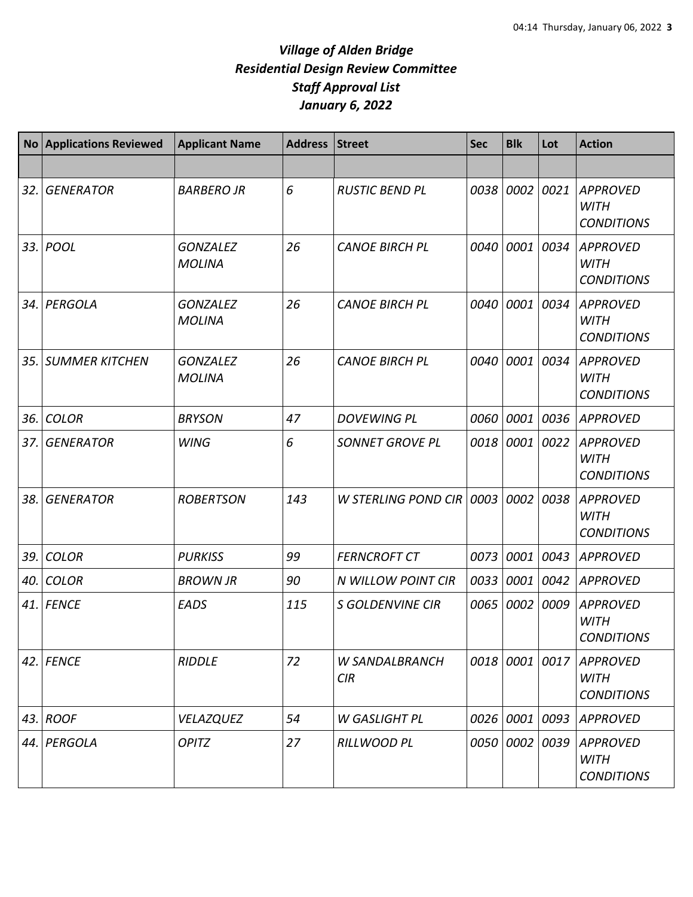|     | No Applications Reviewed | <b>Applicant Name</b>            | <b>Address</b> | <b>Street</b>                | <b>Sec</b> | <b>Blk</b> | Lot  | <b>Action</b>                                       |
|-----|--------------------------|----------------------------------|----------------|------------------------------|------------|------------|------|-----------------------------------------------------|
|     |                          |                                  |                |                              |            |            |      |                                                     |
| 32. | <b>GENERATOR</b>         | <b>BARBERO JR</b>                | 6              | <b>RUSTIC BEND PL</b>        | 0038       | 0002       | 0021 | <b>APPROVED</b><br><b>WITH</b><br><b>CONDITIONS</b> |
| 33. | <b>POOL</b>              | <b>GONZALEZ</b><br><b>MOLINA</b> | 26             | <b>CANOE BIRCH PL</b>        | 0040       | 0001       | 0034 | <b>APPROVED</b><br><b>WITH</b><br><b>CONDITIONS</b> |
| 34. | PERGOLA                  | <b>GONZALEZ</b><br><b>MOLINA</b> | 26             | <b>CANOE BIRCH PL</b>        | 0040       | 0001       | 0034 | <b>APPROVED</b><br><b>WITH</b><br><b>CONDITIONS</b> |
| 35. | <b>SUMMER KITCHEN</b>    | <b>GONZALEZ</b><br><b>MOLINA</b> | 26             | <b>CANOE BIRCH PL</b>        | 0040       | 0001       | 0034 | <b>APPROVED</b><br><b>WITH</b><br><b>CONDITIONS</b> |
| 36. | <b>COLOR</b>             | <b>BRYSON</b>                    | 47             | <b>DOVEWING PL</b>           | 0060       | 0001       | 0036 | <b>APPROVED</b>                                     |
| 37. | <b>GENERATOR</b>         | <b>WING</b>                      | 6              | <b>SONNET GROVE PL</b>       | 0018       | 0001       | 0022 | <b>APPROVED</b><br><b>WITH</b><br><b>CONDITIONS</b> |
| 38. | <b>GENERATOR</b>         | <b>ROBERTSON</b>                 | 143            | <b>W STERLING POND CIR</b>   | 0003       | 0002       | 0038 | <b>APPROVED</b><br><b>WITH</b><br><b>CONDITIONS</b> |
| 39. | <b>COLOR</b>             | <b>PURKISS</b>                   | 99             | <b>FERNCROFT CT</b>          | 0073       | 0001       | 0043 | <b>APPROVED</b>                                     |
| 40. | <b>COLOR</b>             | <b>BROWN JR</b>                  | 90             | <b>N WILLOW POINT CIR</b>    | 0033       | 0001       | 0042 | <b>APPROVED</b>                                     |
| 41. | <b>FENCE</b>             | EADS                             | 115            | <b>S GOLDENVINE CIR</b>      | 0065       | 0002       | 0009 | <b>APPROVED</b><br><b>WITH</b><br><b>CONDITIONS</b> |
|     | 42. FENCE                | <b>RIDDLE</b>                    | 72             | <b>W SANDALBRANCH</b><br>CIR | 0018       | 0001       | 0017 | <b>APPROVED</b><br><b>WITH</b><br><b>CONDITIONS</b> |
|     | 43. ROOF                 | <b>VELAZQUEZ</b>                 | 54             | W GASLIGHT PL                | 0026       | 0001       | 0093 | APPROVED                                            |
|     | 44. PERGOLA              | <b>OPITZ</b>                     | 27             | RILLWOOD PL                  | 0050       | 0002       | 0039 | <b>APPROVED</b><br><b>WITH</b><br><b>CONDITIONS</b> |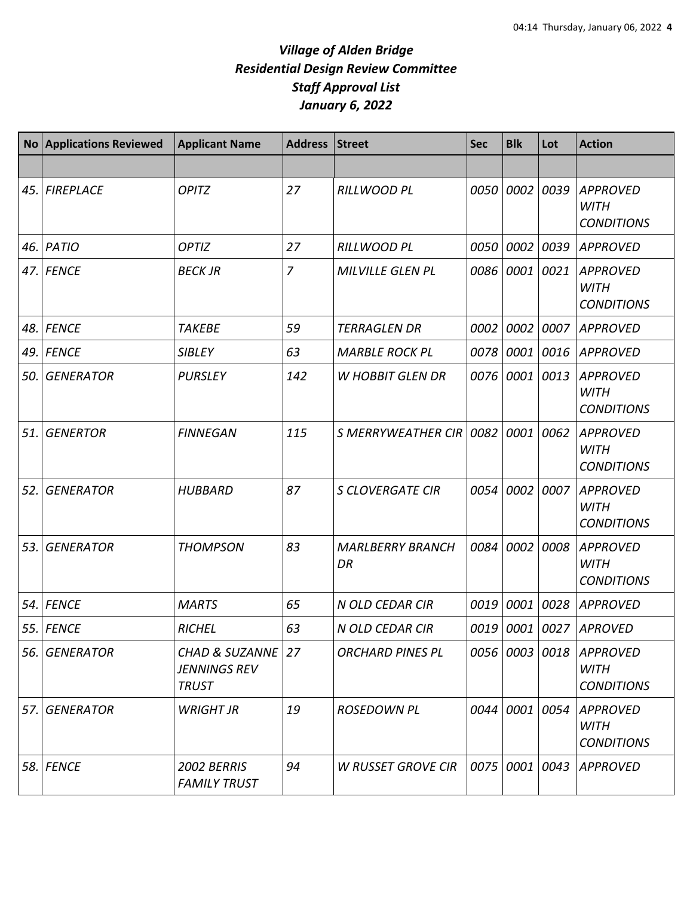|     | No Applications Reviewed | <b>Applicant Name</b>                                            | <b>Address</b> | Street                        | <b>Sec</b> | <b>Blk</b> | Lot  | <b>Action</b>                                       |
|-----|--------------------------|------------------------------------------------------------------|----------------|-------------------------------|------------|------------|------|-----------------------------------------------------|
|     |                          |                                                                  |                |                               |            |            |      |                                                     |
| 45. | <b>FIREPLACE</b>         | <b>OPITZ</b>                                                     | 27             | RILLWOOD PL                   | 0050       | 0002       | 0039 | <b>APPROVED</b><br><b>WITH</b><br><b>CONDITIONS</b> |
| 46. | <b>PATIO</b>             | <b>OPTIZ</b>                                                     | 27             | RILLWOOD PL                   | 0050       | 0002       | 0039 | APPROVED                                            |
| 47. | <b>FENCE</b>             | <b>BECK JR</b>                                                   | 7              | <b>MILVILLE GLEN PL</b>       | 0086       | 0001       | 0021 | <b>APPROVED</b><br><b>WITH</b><br><b>CONDITIONS</b> |
| 48. | <b>FENCE</b>             | <b>TAKEBE</b>                                                    | 59             | <b>TERRAGLEN DR</b>           | 0002       | 0002       | 0007 | <b>APPROVED</b>                                     |
| 49. | <b>FENCE</b>             | <b>SIBLEY</b>                                                    | 63             | <b>MARBLE ROCK PL</b>         | 0078       | 0001       | 0016 | <b>APPROVED</b>                                     |
| 50. | <b>GENERATOR</b>         | <b>PURSLEY</b>                                                   | 142            | <b>W HOBBIT GLEN DR</b>       | 0076       | 0001       | 0013 | <b>APPROVED</b><br><b>WITH</b><br><b>CONDITIONS</b> |
| 51. | <b>GENERTOR</b>          | <b>FINNEGAN</b>                                                  | 115            | <b>S MERRYWEATHER CIR</b>     | 0082       | 0001       | 0062 | <b>APPROVED</b><br><b>WITH</b><br><b>CONDITIONS</b> |
| 52. | <b>GENERATOR</b>         | <b>HUBBARD</b>                                                   | 87             | <b>S CLOVERGATE CIR</b>       | 0054       | 0002       | 0007 | <b>APPROVED</b><br><b>WITH</b><br><b>CONDITIONS</b> |
| 53. | <b>GENERATOR</b>         | <b>THOMPSON</b>                                                  | 83             | <b>MARLBERRY BRANCH</b><br>DR | 0084       | 0002       | 0008 | <b>APPROVED</b><br><b>WITH</b><br><b>CONDITIONS</b> |
| 54. | <b>FENCE</b>             | <b>MARTS</b>                                                     | 65             | N OLD CEDAR CIR               | 0019       | 0001       | 0028 | <b>APPROVED</b>                                     |
|     | 55. FENCE                | <b>RICHEL</b>                                                    | 63             | N OLD CEDAR CIR               | 0019       | 0001       | 0027 | <b>APROVED</b>                                      |
| 56. | <b>GENERATOR</b>         | <b>CHAD &amp; SUZANNE</b><br><b>JENNINGS REV</b><br><b>TRUST</b> | 27             | <b>ORCHARD PINES PL</b>       | 0056       | 0003       | 0018 | <b>APPROVED</b><br><b>WITH</b><br><b>CONDITIONS</b> |
| 57. | <b>GENERATOR</b>         | <b>WRIGHT JR</b>                                                 | 19             | <b>ROSEDOWN PL</b>            | 0044       | 0001       | 0054 | APPROVED<br><b>WITH</b><br><b>CONDITIONS</b>        |
| 58. | <b>FENCE</b>             | 2002 BERRIS<br><b>FAMILY TRUST</b>                               | 94             | <b>W RUSSET GROVE CIR</b>     | 0075       | 0001       | 0043 | APPROVED                                            |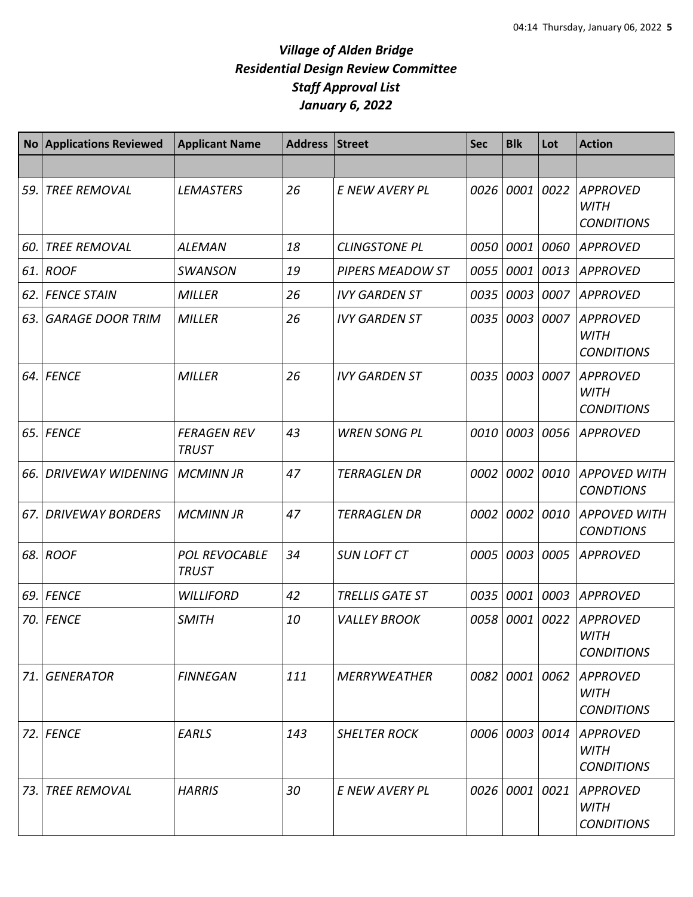| N <sub>O</sub> | <b>Applications Reviewed</b> | <b>Applicant Name</b>                | <b>Address</b> | <b>Street</b>        | <b>Sec</b> | <b>Blk</b> | Lot  | <b>Action</b>                                       |
|----------------|------------------------------|--------------------------------------|----------------|----------------------|------------|------------|------|-----------------------------------------------------|
|                |                              |                                      |                |                      |            |            |      |                                                     |
| 59.            | <b>TREE REMOVAL</b>          | <b>LEMASTERS</b>                     | 26             | E NEW AVERY PL       | 0026       | 0001       | 0022 | <b>APPROVED</b><br><b>WITH</b><br><b>CONDITIONS</b> |
| 60.            | <b>TREE REMOVAL</b>          | <b>ALEMAN</b>                        | 18             | <b>CLINGSTONE PL</b> | 0050       | 0001       | 0060 | <b>APPROVED</b>                                     |
| 61.            | <b>ROOF</b>                  | <b>SWANSON</b>                       | 19             | PIPERS MEADOW ST     | 0055       | 0001       | 0013 | <b>APPROVED</b>                                     |
| 62.            | <b>FENCE STAIN</b>           | <b>MILLER</b>                        | 26             | <b>IVY GARDEN ST</b> | 0035       | 0003       | 0007 | <b>APPROVED</b>                                     |
| 63.            | <b>GARAGE DOOR TRIM</b>      | <b>MILLER</b>                        | 26             | <b>IVY GARDEN ST</b> | 0035       | 0003       | 0007 | <b>APPROVED</b><br><b>WITH</b><br><b>CONDITIONS</b> |
| 64.            | <b>FENCE</b>                 | <b>MILLER</b>                        | 26             | <b>IVY GARDEN ST</b> | 0035       | 0003       | 0007 | <b>APPROVED</b><br><b>WITH</b><br><b>CONDITIONS</b> |
| 65.            | <b>FENCE</b>                 | <b>FERAGEN REV</b><br><b>TRUST</b>   | 43             | <b>WREN SONG PL</b>  | 0010       | 0003       | 0056 | <b>APPROVED</b>                                     |
| 66.            | <b>DRIVEWAY WIDENING</b>     | <b>MCMINN JR</b>                     | 47             | <b>TERRAGLEN DR</b>  | 0002       | 0002       | 0010 | <b>APPOVED WITH</b><br><b>CONDTIONS</b>             |
| 67.            | <b>DRIVEWAY BORDERS</b>      | <b>MCMINN JR</b>                     | 47             | <b>TERRAGLEN DR</b>  | 0002       | 0002       | 0010 | <b>APPOVED WITH</b><br><b>CONDTIONS</b>             |
| 68.            | <b>ROOF</b>                  | <b>POL REVOCABLE</b><br><b>TRUST</b> | 34             | <b>SUN LOFT CT</b>   | 0005       | 0003       | 0005 | <b>APPROVED</b>                                     |
| 69.            | <b>FENCE</b>                 | <b>WILLIFORD</b>                     | 42             | TRELLIS GATE ST      | 0035       | 0001       | 0003 | <b>APPROVED</b>                                     |
| 70.            | <b>FENCE</b>                 | <b>SMITH</b>                         | 10             | <b>VALLEY BROOK</b>  | 0058       | 0001       | 0022 | <b>APPROVED</b><br>WITH<br><b>CONDITIONS</b>        |
| 71.            | <b>GENERATOR</b>             | <b>FINNEGAN</b>                      | 111            | <b>MERRYWEATHER</b>  | 0082       | 0001       | 0062 | <b>APPROVED</b><br><b>WITH</b><br><b>CONDITIONS</b> |
| 72.            | <b>FENCE</b>                 | EARLS                                | 143            | <b>SHELTER ROCK</b>  | 0006       | 0003       | 0014 | <b>APPROVED</b><br><b>WITH</b><br><b>CONDITIONS</b> |
| 73.            | <b>TREE REMOVAL</b>          | <b>HARRIS</b>                        | 30             | E NEW AVERY PL       | 0026       | 0001       | 0021 | <b>APPROVED</b><br><b>WITH</b><br><b>CONDITIONS</b> |